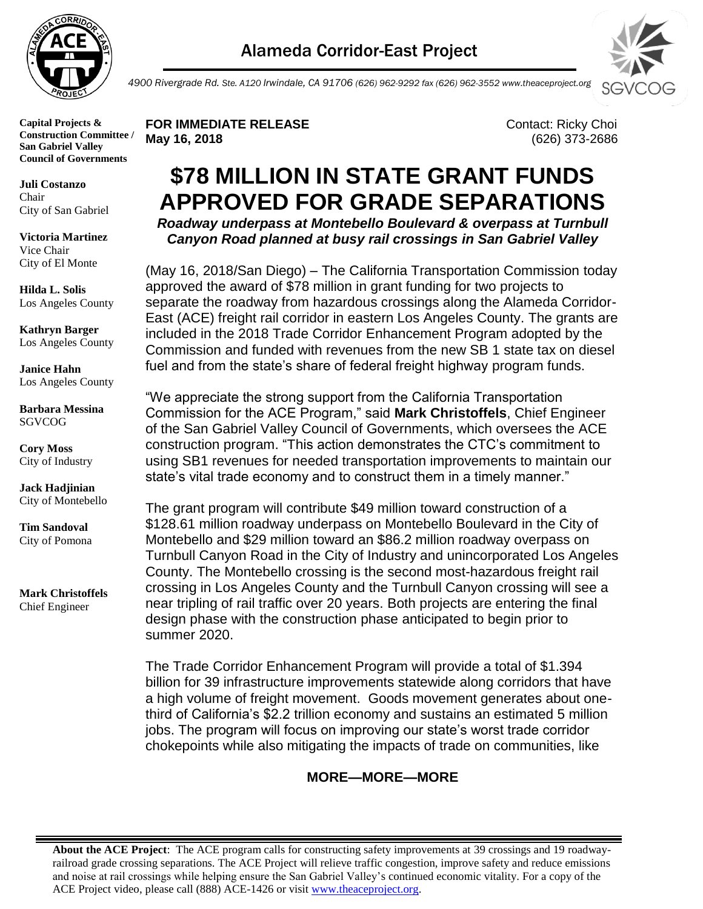

**Juli Costanzo** Chair City of San Gabriel

**Victoria Martinez** Vice Chair City of El Monte

**Hilda L. Solis** Los Angeles County

**Kathryn Barger** Los Angeles County

**Janice Hahn** Los Angeles County

**Barbara Messina** SGVCOG

**Cory Moss** City of Industry

**Jack Hadjinian** City of Montebello

**Tim Sandoval** City of Pomona

**Mark Christoffels** Chief Engineer



*4900 Rivergrade Rd. Ste. A120 Irwindale, CA 91706 (626) 962-9292 fax (626) 962-3552 www.theaceproject.org*

**FOR IMMEDIATE RELEASE CONTACT: Ricky Choi May 16, 2018** (626) 373-2686

## **\$78 MILLION IN STATE GRANT FUNDS APPROVED FOR GRADE SEPARATIONS**

*Roadway underpass at Montebello Boulevard & overpass at Turnbull Canyon Road planned at busy rail crossings in San Gabriel Valley* 

(May 16, 2018/San Diego) – The California Transportation Commission today approved the award of \$78 million in grant funding for two projects to separate the roadway from hazardous crossings along the Alameda Corridor-East (ACE) freight rail corridor in eastern Los Angeles County. The grants are included in the 2018 Trade Corridor Enhancement Program adopted by the Commission and funded with revenues from the new SB 1 state tax on diesel fuel and from the state's share of federal freight highway program funds.

"We appreciate the strong support from the California Transportation Commission for the ACE Program," said **Mark Christoffels**, Chief Engineer of the San Gabriel Valley Council of Governments, which oversees the ACE construction program. "This action demonstrates the CTC's commitment to using SB1 revenues for needed transportation improvements to maintain our state's vital trade economy and to construct them in a timely manner."

The grant program will contribute \$49 million toward construction of a \$128.61 million roadway underpass on Montebello Boulevard in the City of Montebello and \$29 million toward an \$86.2 million roadway overpass on Turnbull Canyon Road in the City of Industry and unincorporated Los Angeles County. The Montebello crossing is the second most-hazardous freight rail crossing in Los Angeles County and the Turnbull Canyon crossing will see a near tripling of rail traffic over 20 years. Both projects are entering the final design phase with the construction phase anticipated to begin prior to summer 2020.

The Trade Corridor Enhancement Program will provide a total of \$1.394 billion for 39 infrastructure improvements statewide along corridors that have a high volume of freight movement. Goods movement generates about onethird of California's \$2.2 trillion economy and sustains an estimated 5 million jobs. The program will focus on improving our state's worst trade corridor chokepoints while also mitigating the impacts of trade on communities, like

## **MORE—MORE—MORE**

**About the ACE Project**: The ACE program calls for constructing safety improvements at 39 crossings and 19 roadwayrailroad grade crossing separations. The ACE Project will relieve traffic congestion, improve safety and reduce emissions and noise at rail crossings while helping ensure the San Gabriel Valley's continued economic vitality. For a copy of the ACE Project video, please call (888) ACE-1426 or visit [www.theaceproject.org.](http://www.theaceproject.org/)